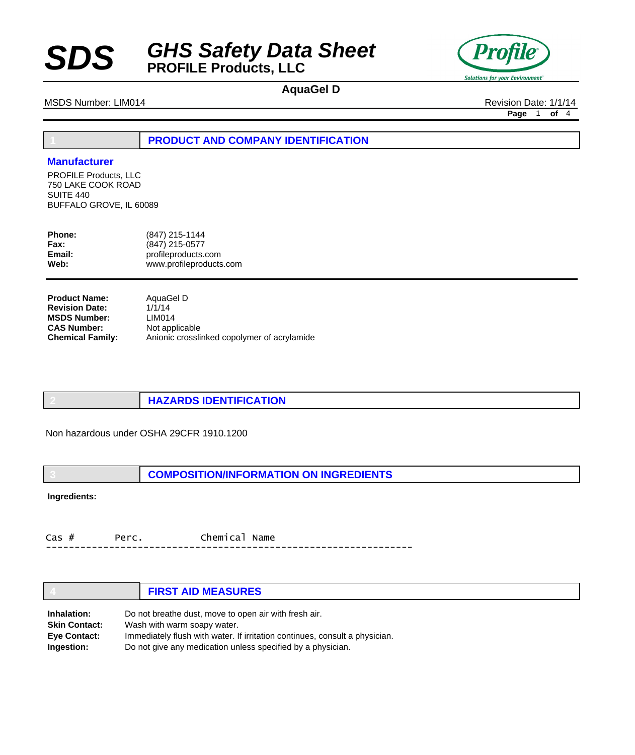



# **AquaGel D**

MSDS Number: LIM014 **Revision Date: 1/1/14** Revision Date: 1/1/14

**Page** 1 **of** 4

**1 PRODUCT AND COMPANY IDENTIFICATION**

### **Manufacturer**

PROFILE Products, LLC 750 LAKE COOK ROAD SUITE 440 BUFFALO GROVE, IL 60089

| <b>Phone:</b> | (847) 215-1144          |
|---------------|-------------------------|
| Fax:          | (847) 215-0577          |
| Email:        | profileproducts.com     |
| Web:          | www.profileproducts.com |

| <b>Product Name:</b>    | AquaGel D                                   |
|-------------------------|---------------------------------------------|
| <b>Revision Date:</b>   | 1/1/14                                      |
| <b>MSDS Number:</b>     | LIM014                                      |
| <b>CAS Number:</b>      | Not applicable                              |
| <b>Chemical Family:</b> | Anionic crosslinked copolymer of acrylamide |

**2 HAZARDS IDENTIFICATION**

Non hazardous under OSHA 29CFR 1910.1200

**3 COMPOSITION/INFORMATION ON INGREDIENTS**

**Ingredients:**

Cas # Perc. Chemical Name ----------------------------------------------------------------

|                      | <b>FIRST AID MEASURES</b>                                                   |
|----------------------|-----------------------------------------------------------------------------|
| Inhalation:          | Do not breathe dust, move to open air with fresh air.                       |
| <b>Skin Contact:</b> | Wash with warm soapy water.                                                 |
| <b>Eye Contact:</b>  | Immediately flush with water. If irritation continues, consult a physician. |
| Ingestion:           | Do not give any medication unless specified by a physician.                 |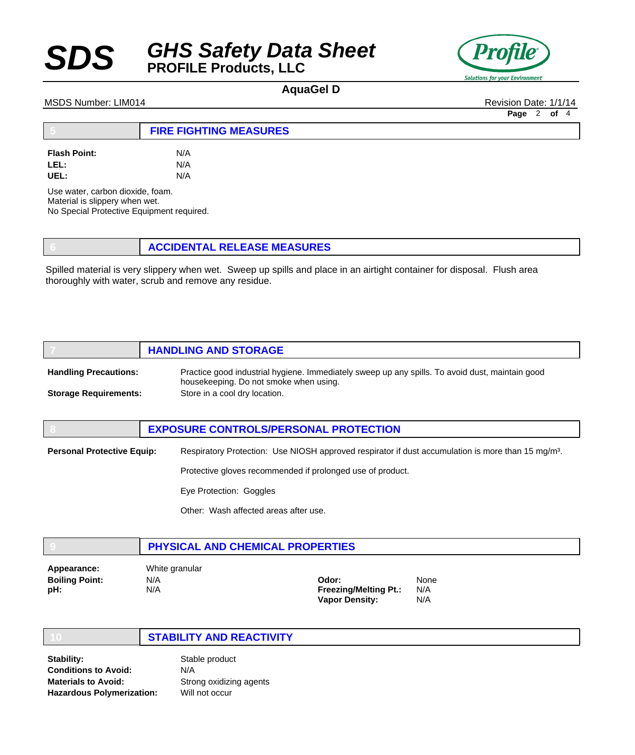



## **AquaGel D**

### MSDS Number: LIM014 **Revision Date: 1/1/14** Revision Date: 1/1/14

**Page** 2 **of** 4

|                     | <b>FIRE FIGHTING MEASURES</b> |  |
|---------------------|-------------------------------|--|
| <b>Flash Point:</b> | N/A                           |  |
| LEL:                | N/A                           |  |
| UEL:                | N/A                           |  |

Use water, carbon dioxide, foam. Material is slippery when wet. No Special Protective Equipment required.

**6 ACCIDENTAL RELEASE MEASURES**

Spilled material is very slippery when wet. Sweep up spills and place in an airtight container for disposal. Flush area thoroughly with water, scrub and remove any residue.

|                              | <b>HANDLING AND STORAGE</b>                                                                                                               |
|------------------------------|-------------------------------------------------------------------------------------------------------------------------------------------|
| <b>Handling Precautions:</b> | Practice good industrial hygiene. Immediately sweep up any spills. To avoid dust, maintain good<br>housekeeping. Do not smoke when using. |
| <b>Storage Requirements:</b> | Store in a cool dry location.                                                                                                             |

# **8 EXPOSURE CONTROLS/PERSONAL PROTECTION** Respiratory Protection: Use NIOSH approved respirator if dust accumulation is more than 15 mg/m<sup>3</sup>. Protective gloves recommended if prolonged use of product. Eye Protection: Goggles **Personal Protective Equip:**

Other: Wash affected areas after use.

|             | <b>PHYSICAL AND CHEMICAL PROPERTIES</b> |  |
|-------------|-----------------------------------------|--|
| Appearance: | White granular                          |  |

| <b>Boiling Point:</b> | N/A |
|-----------------------|-----|
| pH:                   | N/A |
|                       |     |

**Odor: Freezing/Melting Pt.: Vapor Density:** None N/A N/A

### **10 STABILITY AND REACTIVITY**

Stable product N/A Strong oxidizing agents Will not occur **Stability: Conditions to Avoid: Materials to Avoid: Hazardous Polymerization:**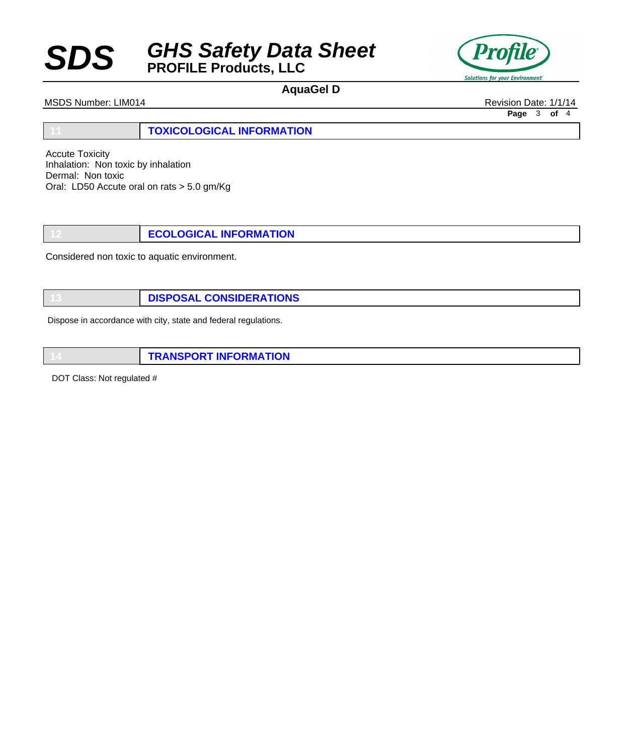# **SDS** *GHS Safety Data Sheet* **PROFILE Products, LLC**



# **AquaGel D**

MSDS Number: LIM014 **Revision Date: 1/1/14** Revision Date: 1/1/14

**Page** 3 **of** 4

**11 TOXICOLOGICAL INFORMATION**

Accute Toxicity Inhalation: Non toxic by inhalation Dermal: Non toxic Oral: LD50 Accute oral on rats > 5.0 gm/Kg

**12 ECOLOGICAL INFORMATION**

Considered non toxic to aquatic environment.

**13 DISPOSAL CONSIDERATIONS**

Dispose in accordance with city, state and federal regulations.

**14 TRANSPORT INFORMATION**

DOT Class: Not regulated #